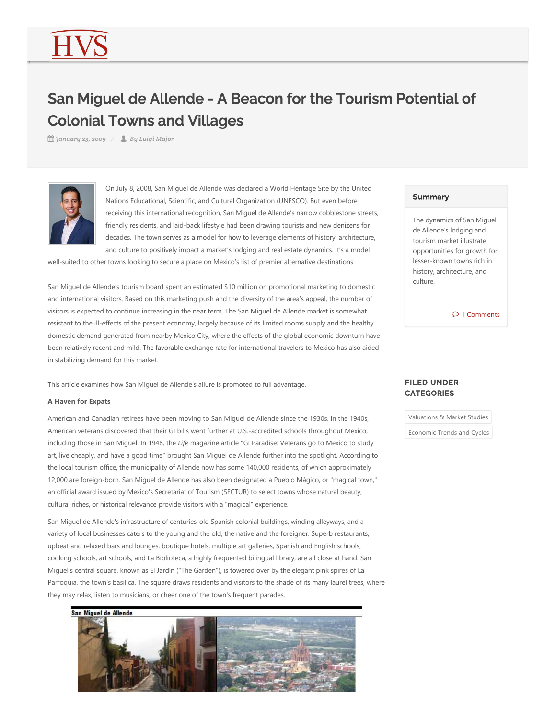# San Miguel de Allende - A Beacon for the Tourism Potential of Colonial Towns and Villages

*January 23, 2009 By Luigi Major*



On July 8, 2008, San Miguel de Allende was declared a World Heritage Site by the United Nations Educational, Scientific, and Cultural Organization (UNESCO). But even before receiving this international recognition, San Miguel de Allende's narrow cobblestone streets, friendly residents, and laid‐back lifestyle had been drawing tourists and new denizens for decades. The town serves as a model for how to leverage elements of history, architecture, and culture to positively impact a market's lodging and real estate dynamics. It's a model

well-suited to other towns looking to secure a place on Mexico's list of premier alternative destinations.

San Miguel de Allende's tourism board spent an estimated \$10 million on promotional marketing to domestic and international visitors. Based on this marketing push and the diversity of the area's appeal, the number of visitors is expected to continue increasing in the near term. The San Miguel de Allende market is somewhat resistant to the ill-effects of the present economy, largely because of its limited rooms supply and the healthy domestic demand generated from nearby Mexico City, where the effects of the global economic downturn have been relatively recent and mild. The favorable exchange rate for international travelers to Mexico has also aided in stabilizing demand for this market.

This article examines how San Miguel de Allende's allure is promoted to full advantage.

#### **A Haven for Expats**

American and Canadian retirees have been moving to San Miguel de Allende since the 1930s. In the 1940s, American veterans discovered that their GI bills went further at U.S.‐accredited schools throughout Mexico, including those in San Miguel. In 1948, the *Life* magazine article "GI Paradise: Veterans go to Mexico to study art, live cheaply, and have a good time" brought San Miguel de Allende further into the spotlight. According to the local tourism office, the municipality of Allende now has some 140,000 residents, of which approximately 12,000 are foreign‐born. San Miguel de Allende has also been designated a Pueblo Mágico, or "magical town," an official award issued by Mexico's Secretariat of Tourism (SECTUR) to select towns whose natural beauty, cultural riches, or historical relevance provide visitors with a "magical" experience.

San Miguel de Allende's infrastructure of centuries‐old Spanish colonial buildings, winding alleyways, and a variety of local businesses caters to the young and the old, the native and the foreigner. Superb restaurants, upbeat and relaxed bars and lounges, boutique hotels, multiple art galleries, Spanish and English schools, cooking schools, art schools, and La Biblioteca, a highly frequented bilingual library, are all close at hand. San Miguel's central square, known as El Jardín ("The Garden"), is towered over by the elegant pink spires of La Parroquia, the town's basilica. The square draws residents and visitors to the shade of its many laurel trees, where they may relax, listen to musicians, or cheer one of the town's frequent parades.



#### **Summary**

The dynamics of San Miguel de Allende's lodging and tourism market illustrate opportunities for growth for lesser‐known towns rich in history, architecture, and culture.

 $\wp$  1 Comments

## FILED UNDER **CATEGORIES**

Valuations & Market Studies

Economic Trends and Cycles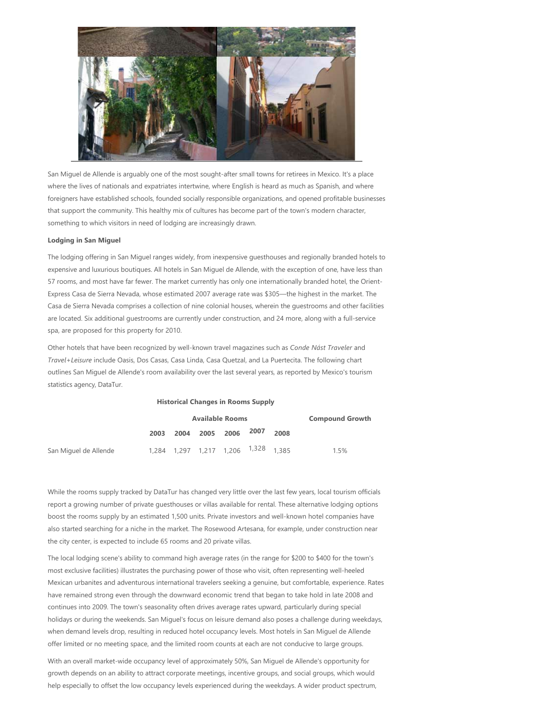

San Miguel de Allende is arguably one of the most sought-after small towns for retirees in Mexico. It's a place where the lives of nationals and expatriates intertwine, where English is heard as much as Spanish, and where foreigners have established schools, founded socially responsible organizations, and opened profitable businesses that support the community. This healthy mix of cultures has become part of the town's modern character, something to which visitors in need of lodging are increasingly drawn.

#### **Lodging in San Miguel**

The lodging offering in San Miguel ranges widely, from inexpensive guesthouses and regionally branded hotels to expensive and luxurious boutiques. All hotels in San Miguel de Allende, with the exception of one, have less than 57 rooms, and most have far fewer. The market currently has only one internationally branded hotel, the Orient-Express Casa de Sierra Nevada, whose estimated 2007 average rate was \$305—the highest in the market. The Casa de Sierra Nevada comprises a collection of nine colonial houses, wherein the guestrooms and other facilities are located. Six additional guestrooms are currently under construction, and 24 more, along with a full‐service spa, are proposed for this property for 2010.

Other hotels that have been recognized by well‐known travel magazines such as *Conde Nást Traveler* and *Travel+Leisure* include Oasis, Dos Casas, Casa Linda, Casa Quetzal, and La Puertecita. The following chart outlines San Miguel de Allende's room availability over the last several years, as reported by Mexico's tourism statistics agency, DataTur.

#### **Historical Changes in Rooms Supply**

|                       | <b>Available Rooms</b> |  |                                                |  |  | <b>Compound Growth</b> |
|-----------------------|------------------------|--|------------------------------------------------|--|--|------------------------|
|                       |                        |  | 2003 2004 2005 2006 2007 2008                  |  |  |                        |
| San Miguel de Allende |                        |  | 1,284 1,297 1,217 1,206 <sup>1,328</sup> 1,385 |  |  | 1.5%                   |

While the rooms supply tracked by DataTur has changed very little over the last few years, local tourism officials report a growing number of private guesthouses or villas available for rental. These alternative lodging options boost the rooms supply by an estimated 1,500 units. Private investors and well-known hotel companies have also started searching for a niche in the market. The Rosewood Artesana, for example, under construction near the city center, is expected to include 65 rooms and 20 private villas.

The local lodging scene's ability to command high average rates (in the range for \$200 to \$400 for the town's most exclusive facilities) illustrates the purchasing power of those who visit, often representing well-heeled Mexican urbanites and adventurous international travelers seeking a genuine, but comfortable, experience. Rates have remained strong even through the downward economic trend that began to take hold in late 2008 and continues into 2009. The town's seasonality often drives average rates upward, particularly during special holidays or during the weekends. San Miguel's focus on leisure demand also poses a challenge during weekdays, when demand levels drop, resulting in reduced hotel occupancy levels. Most hotels in San Miguel de Allende offer limited or no meeting space, and the limited room counts at each are not conducive to large groups.

With an overall market-wide occupancy level of approximately 50%, San Miquel de Allende's opportunity for growth depends on an ability to attract corporate meetings, incentive groups, and social groups, which would help especially to offset the low occupancy levels experienced during the weekdays. A wider product spectrum,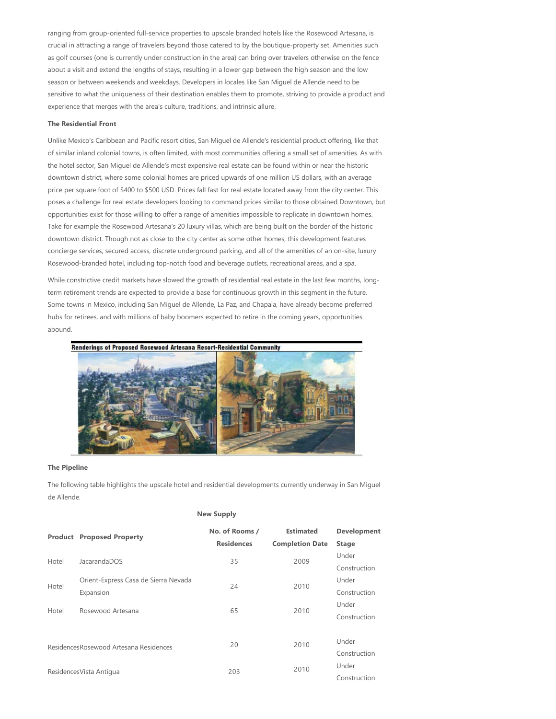ranging from group‐oriented full‐service properties to upscale branded hotels like the Rosewood Artesana, is crucial in attracting a range of travelers beyond those catered to by the boutique‐property set. Amenities such as golf courses (one is currently under construction in the area) can bring over travelers otherwise on the fence about a visit and extend the lengths of stays, resulting in a lower gap between the high season and the low season or between weekends and weekdays. Developers in locales like San Miguel de Allende need to be sensitive to what the uniqueness of their destination enables them to promote, striving to provide a product and experience that merges with the area's culture, traditions, and intrinsic allure.

#### **The Residential Front**

Unlike Mexico's Caribbean and Pacific resort cities, San Miguel de Allende's residential product offering, like that of similar inland colonial towns, is often limited, with most communities offering a small set of amenities. As with the hotel sector, San Miguel de Allende's most expensive real estate can be found within or near the historic downtown district, where some colonial homes are priced upwards of one million US dollars, with an average price per square foot of \$400 to \$500 USD. Prices fall fast for real estate located away from the city center. This poses a challenge for real estate developers looking to command prices similar to those obtained Downtown, but opportunities exist for those willing to offer a range of amenities impossible to replicate in downtown homes. Take for example the Rosewood Artesana's 20 luxury villas, which are being built on the border of the historic downtown district. Though not as close to the city center as some other homes, this development features concierge services, secured access, discrete underground parking, and all of the amenities of an on‐site, luxury Rosewood‐branded hotel, including top‐notch food and beverage outlets, recreational areas, and a spa.

While constrictive credit markets have slowed the growth of residential real estate in the last few months, longterm retirement trends are expected to provide a base for continuous growth in this segment in the future. Some towns in Mexico, including San Miguel de Allende, La Paz, and Chapala, have already become preferred hubs for retirees, and with millions of baby boomers expected to retire in the coming years, opportunities abound.



#### **The Pipeline**

The following table highlights the upscale hotel and residential developments currently underway in San Miguel de Allende.

#### **New Supply**

|                          | <b>Product Proposed Property</b>        | No. of Rooms /<br><b>Residences</b> | <b>Estimated</b><br><b>Completion Date</b> | <b>Development</b><br><b>Stage</b> |
|--------------------------|-----------------------------------------|-------------------------------------|--------------------------------------------|------------------------------------|
|                          |                                         |                                     |                                            | Under                              |
| Hotel                    | JacarandaDOS                            | 35                                  | 2009                                       | Construction                       |
| Hotel                    | Orient-Express Casa de Sierra Nevada    | 24                                  | 2010                                       | Under                              |
|                          | Expansion                               |                                     |                                            | Construction                       |
| Hotel                    | Rosewood Artesana                       | 65                                  | 2010                                       | Under                              |
|                          |                                         |                                     |                                            | Construction                       |
|                          |                                         |                                     |                                            |                                    |
|                          | Residences Rosewood Artesana Residences | 20                                  | 2010                                       | Under                              |
|                          |                                         |                                     |                                            | Construction                       |
|                          |                                         | 203                                 | 2010                                       | Under                              |
| Residences Vista Antigua |                                         |                                     |                                            | Construction                       |